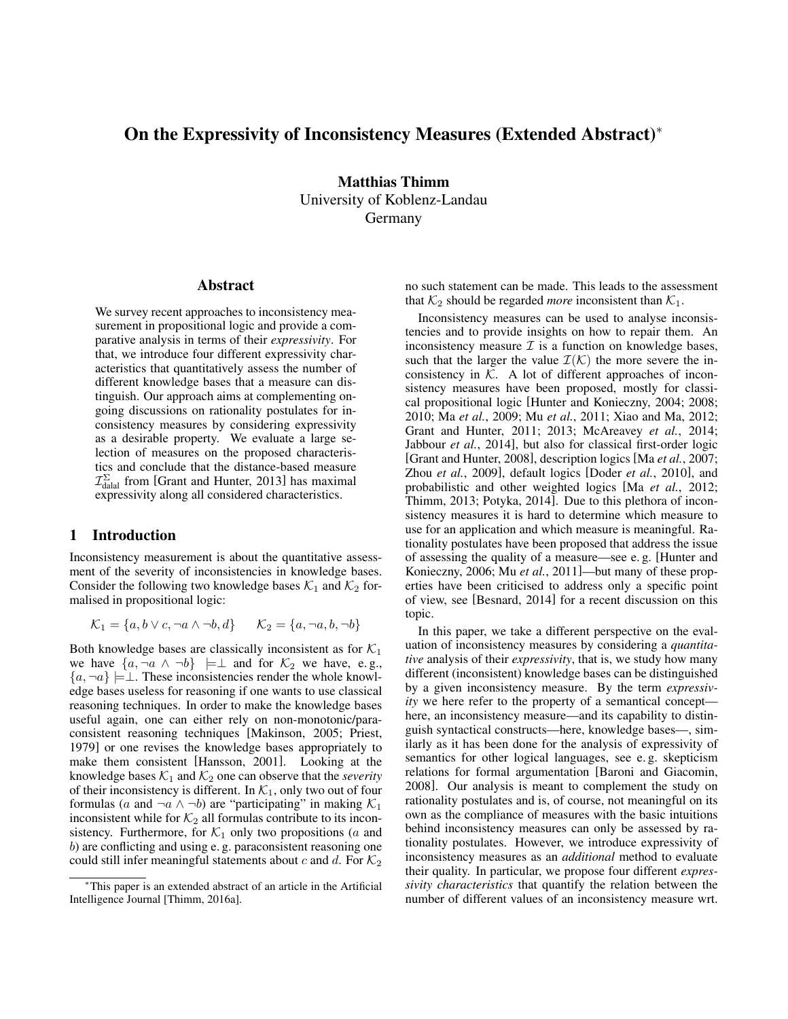# On the Expressivity of Inconsistency Measures (Extended Abstract)<sup>∗</sup>

Matthias Thimm University of Koblenz-Landau Germany

#### Abstract

We survey recent approaches to inconsistency measurement in propositional logic and provide a comparative analysis in terms of their *expressivity*. For that, we introduce four different expressivity characteristics that quantitatively assess the number of different knowledge bases that a measure can distinguish. Our approach aims at complementing ongoing discussions on rationality postulates for inconsistency measures by considering expressivity as a desirable property. We evaluate a large selection of measures on the proposed characteristics and conclude that the distance-based measure  $\mathcal{I}_{\text{datal}}^{\Sigma}$  from [Grant and Hunter, 2013] has maximal expressivity along all considered characteristics.

### 1 Introduction

Inconsistency measurement is about the quantitative assessment of the severity of inconsistencies in knowledge bases. Consider the following two knowledge bases  $K_1$  and  $K_2$  formalised in propositional logic:

$$
\mathcal{K}_1 = \{a, b \lor c, \neg a \land \neg b, d\} \qquad \mathcal{K}_2 = \{a, \neg a, b, \neg b\}
$$

Both knowledge bases are classically inconsistent as for  $K_1$ we have  $\{a, \neg a \land \neg b\} \models \perp$  and for  $\mathcal{K}_2$  we have, e.g.,  ${a, \neg a} \models \bot$ . These inconsistencies render the whole knowledge bases useless for reasoning if one wants to use classical reasoning techniques. In order to make the knowledge bases useful again, one can either rely on non-monotonic/paraconsistent reasoning techniques [Makinson, 2005; Priest, 1979] or one revises the knowledge bases appropriately to make them consistent [Hansson, 2001]. Looking at the knowledge bases  $K_1$  and  $K_2$  one can observe that the *severity* of their inconsistency is different. In  $\mathcal{K}_1$ , only two out of four formulas (a and  $\neg a \land \neg b$ ) are "participating" in making  $\mathcal{K}_1$ inconsistent while for  $K_2$  all formulas contribute to its inconsistency. Furthermore, for  $K_1$  only two propositions (a and b) are conflicting and using e. g. paraconsistent reasoning one could still infer meaningful statements about c and d. For  $K_2$  no such statement can be made. This leads to the assessment that  $K_2$  should be regarded *more* inconsistent than  $K_1$ .

Inconsistency measures can be used to analyse inconsistencies and to provide insights on how to repair them. An inconsistency measure  $\mathcal I$  is a function on knowledge bases, such that the larger the value  $\mathcal{I}(\mathcal{K})$  the more severe the inconsistency in  $K$ . A lot of different approaches of inconsistency measures have been proposed, mostly for classical propositional logic [Hunter and Konieczny, 2004; 2008; 2010; Ma *et al.*, 2009; Mu *et al.*, 2011; Xiao and Ma, 2012; Grant and Hunter, 2011; 2013; McAreavey *et al.*, 2014; Jabbour *et al.*, 2014], but also for classical first-order logic [Grant and Hunter, 2008], description logics [Ma *et al.*, 2007; Zhou *et al.*, 2009], default logics [Doder *et al.*, 2010], and probabilistic and other weighted logics [Ma *et al.*, 2012; Thimm, 2013; Potyka, 2014]. Due to this plethora of inconsistency measures it is hard to determine which measure to use for an application and which measure is meaningful. Rationality postulates have been proposed that address the issue of assessing the quality of a measure—see e. g. [Hunter and Konieczny, 2006; Mu *et al.*, 2011]—but many of these properties have been criticised to address only a specific point of view, see [Besnard, 2014] for a recent discussion on this topic.

In this paper, we take a different perspective on the evaluation of inconsistency measures by considering a *quantitative* analysis of their *expressivity*, that is, we study how many different (inconsistent) knowledge bases can be distinguished by a given inconsistency measure. By the term *expressivity* we here refer to the property of a semantical concept here, an inconsistency measure—and its capability to distinguish syntactical constructs—here, knowledge bases—, similarly as it has been done for the analysis of expressivity of semantics for other logical languages, see e. g. skepticism relations for formal argumentation [Baroni and Giacomin, 2008]. Our analysis is meant to complement the study on rationality postulates and is, of course, not meaningful on its own as the compliance of measures with the basic intuitions behind inconsistency measures can only be assessed by rationality postulates. However, we introduce expressivity of inconsistency measures as an *additional* method to evaluate their quality. In particular, we propose four different *expressivity characteristics* that quantify the relation between the number of different values of an inconsistency measure wrt.

<sup>∗</sup>This paper is an extended abstract of an article in the Artificial Intelligence Journal [Thimm, 2016a].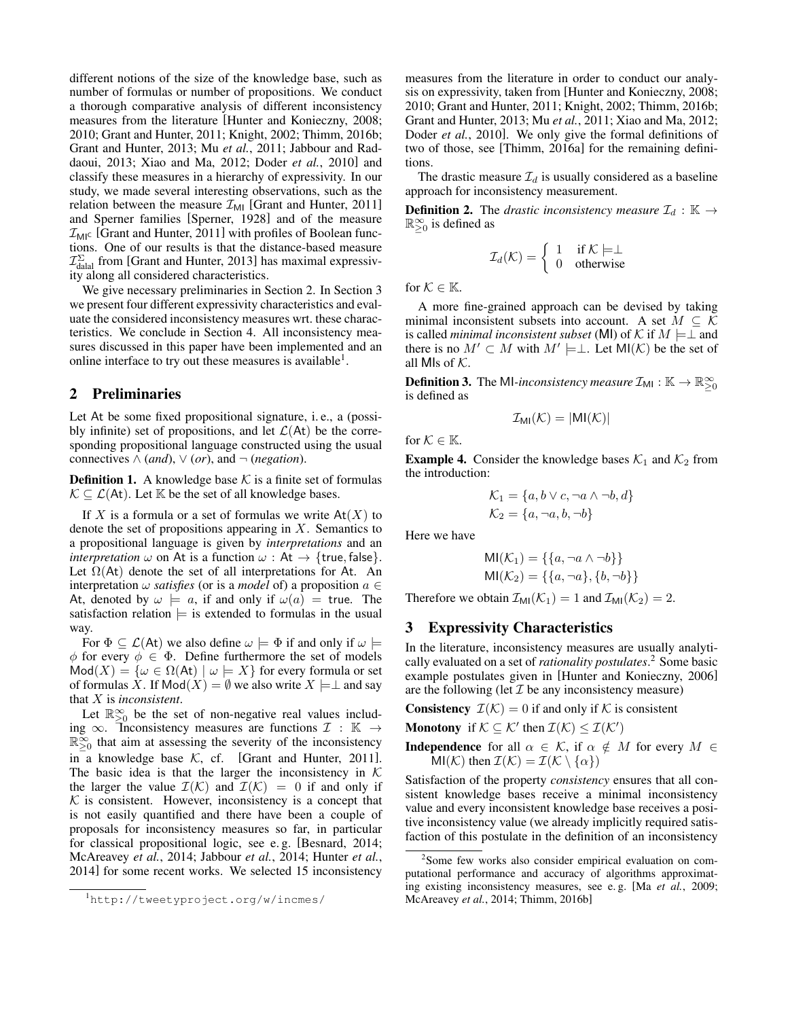different notions of the size of the knowledge base, such as number of formulas or number of propositions. We conduct a thorough comparative analysis of different inconsistency measures from the literature [Hunter and Konieczny, 2008; 2010; Grant and Hunter, 2011; Knight, 2002; Thimm, 2016b; Grant and Hunter, 2013; Mu *et al.*, 2011; Jabbour and Raddaoui, 2013; Xiao and Ma, 2012; Doder *et al.*, 2010] and classify these measures in a hierarchy of expressivity. In our study, we made several interesting observations, such as the relation between the measure  $\mathcal{I}_{\text{MI}}$  [Grant and Hunter, 2011] and Sperner families [Sperner, 1928] and of the measure  $\mathcal{I}_{MI}$  [Grant and Hunter, 2011] with profiles of Boolean functions. One of our results is that the distance-based measure  $\mathcal{I}_{\text{dalal}}^{\Sigma}$  from [Grant and Hunter, 2013] has maximal expressivity along all considered characteristics.

We give necessary preliminaries in Section 2. In Section 3 we present four different expressivity characteristics and evaluate the considered inconsistency measures wrt. these characteristics. We conclude in Section 4. All inconsistency measures discussed in this paper have been implemented and an online interface to try out these measures is available<sup>1</sup>.

#### 2 Preliminaries

Let At be some fixed propositional signature, i. e., a (possibly infinite) set of propositions, and let  $\mathcal{L}(At)$  be the corresponding propositional language constructed using the usual connectives  $\wedge$  (*and*),  $\vee$  (*or*), and  $\neg$  (*negation*).

**Definition 1.** A knowledge base  $K$  is a finite set of formulas  $\mathcal{K} \subseteq \mathcal{L}(At)$ . Let  $\mathbb K$  be the set of all knowledge bases.

If X is a formula or a set of formulas we write  $At(X)$  to denote the set of propositions appearing in  $X$ . Semantics to a propositional language is given by *interpretations* and an *interpretation*  $\omega$  on At is a function  $\omega$  : At  $\rightarrow$  {true, false}. Let  $\Omega$ (At) denote the set of all interpretations for At. An interpretation  $\omega$  *satisfies* (or is a *model* of) a proposition  $a \in$ At, denoted by  $\omega \models a$ , if and only if  $\omega(a) =$  true. The satisfaction relation  $\models$  is extended to formulas in the usual way.

For  $\Phi \subseteq \mathcal{L}(A_t)$  we also define  $\omega \models \Phi$  if and only if  $\omega \models$ φ for every  $\phi \in \Phi$ . Define furthermore the set of models  $Mod(X) = \{ \omega \in \Omega(\mathsf{At}) \mid \omega \models X \}$  for every formula or set of formulas X. If  $Mod(X) = \emptyset$  we also write  $X \models \bot$  and say that X is *inconsistent*.

Let  $\mathbb{R}^{\infty}_{\geq 0}$  be the set of non-negative real values including  $\infty$ . Theonsistency measures are functions  $\mathcal{I} : \mathbb{K} \to$  $\mathbb{R}_{\geq 0}^{\infty}$  that aim at assessing the severity of the inconsistency in a knowledge base  $K$ , cf. [Grant and Hunter, 2011]. The basic idea is that the larger the inconsistency in  $K$ the larger the value  $\mathcal{I}(\mathcal{K})$  and  $\mathcal{I}(\mathcal{K}) = 0$  if and only if  $K$  is consistent. However, inconsistency is a concept that is not easily quantified and there have been a couple of proposals for inconsistency measures so far, in particular for classical propositional logic, see e. g. [Besnard, 2014; McAreavey *et al.*, 2014; Jabbour *et al.*, 2014; Hunter *et al.*, 2014] for some recent works. We selected 15 inconsistency measures from the literature in order to conduct our analysis on expressivity, taken from [Hunter and Konieczny, 2008; 2010; Grant and Hunter, 2011; Knight, 2002; Thimm, 2016b; Grant and Hunter, 2013; Mu *et al.*, 2011; Xiao and Ma, 2012; Doder *et al.*, 2010]. We only give the formal definitions of two of those, see [Thimm, 2016a] for the remaining definitions.

The drastic measure  $\mathcal{I}_d$  is usually considered as a baseline approach for inconsistency measurement.

**Definition 2.** The *drastic inconsistency measure*  $\mathcal{I}_d$  :  $\mathbb{K} \to$  $\mathbb{R}_{\geq 0}^{\infty}$  is defined as

$$
\mathcal{I}_d(\mathcal{K}) = \left\{ \begin{array}{ll} 1 & \text{if } \mathcal{K} \models \perp \\ 0 & \text{otherwise} \end{array} \right.
$$

for  $K \in \mathbb{K}$ .

A more fine-grained approach can be devised by taking minimal inconsistent subsets into account. A set  $M \subseteq \mathcal{K}$ is called *minimal inconsistent subset* (MI) of K if  $M \models \perp$  and there is no  $M' \subset M$  with  $M' \models \perp$ . Let MI(K) be the set of all MIs of  $K$ .

**Definition 3.** The MI-inconsistency measure  $\mathcal{I}_{\text{MI}} : \mathbb{K} \to \mathbb{R}_{\geq 0}^{\infty}$ is defined as

$$
\mathcal{I}_{\text{MI}}(\mathcal{K}) = |\text{MI}(\mathcal{K})|
$$

for  $\mathcal{K} \in \mathbb{K}$ .

**Example 4.** Consider the knowledge bases  $K_1$  and  $K_2$  from the introduction:

$$
\mathcal{K}_1 = \{a, b \lor c, \neg a \land \neg b, d\}
$$

$$
\mathcal{K}_2 = \{a, \neg a, b, \neg b\}
$$

Here we have

$$
MI(\mathcal{K}_1) = \{\{a, \neg a \land \neg b\}\}\
$$

$$
MI(\mathcal{K}_2) = \{\{a, \neg a\}, \{b, \neg b\}\}\
$$

Therefore we obtain  $\mathcal{I}_{\text{MI}}(\mathcal{K}_1) = 1$  and  $\mathcal{I}_{\text{MI}}(\mathcal{K}_2) = 2$ .

### 3 Expressivity Characteristics

In the literature, inconsistency measures are usually analytically evaluated on a set of *rationality postulates*. <sup>2</sup> Some basic example postulates given in [Hunter and Konieczny, 2006] are the following (let  $\mathcal I$  be any inconsistency measure)

**Consistency**  $\mathcal{I}(\mathcal{K}) = 0$  if and only if K is consistent

**Monotony** if  $K \subseteq K'$  then  $\mathcal{I}(K) \leq \mathcal{I}(K')$ 

**Independence** for all  $\alpha \in \mathcal{K}$ , if  $\alpha \notin M$  for every  $M \in$ MI(K) then  $\mathcal{I}(\mathcal{K}) = \mathcal{I}(\mathcal{K} \setminus {\alpha})$ 

Satisfaction of the property *consistency* ensures that all consistent knowledge bases receive a minimal inconsistency value and every inconsistent knowledge base receives a positive inconsistency value (we already implicitly required satisfaction of this postulate in the definition of an inconsistency

<sup>1</sup>http://tweetyproject.org/w/incmes/

<sup>&</sup>lt;sup>2</sup>Some few works also consider empirical evaluation on computational performance and accuracy of algorithms approximating existing inconsistency measures, see e. g. [Ma *et al.*, 2009; McAreavey *et al.*, 2014; Thimm, 2016b]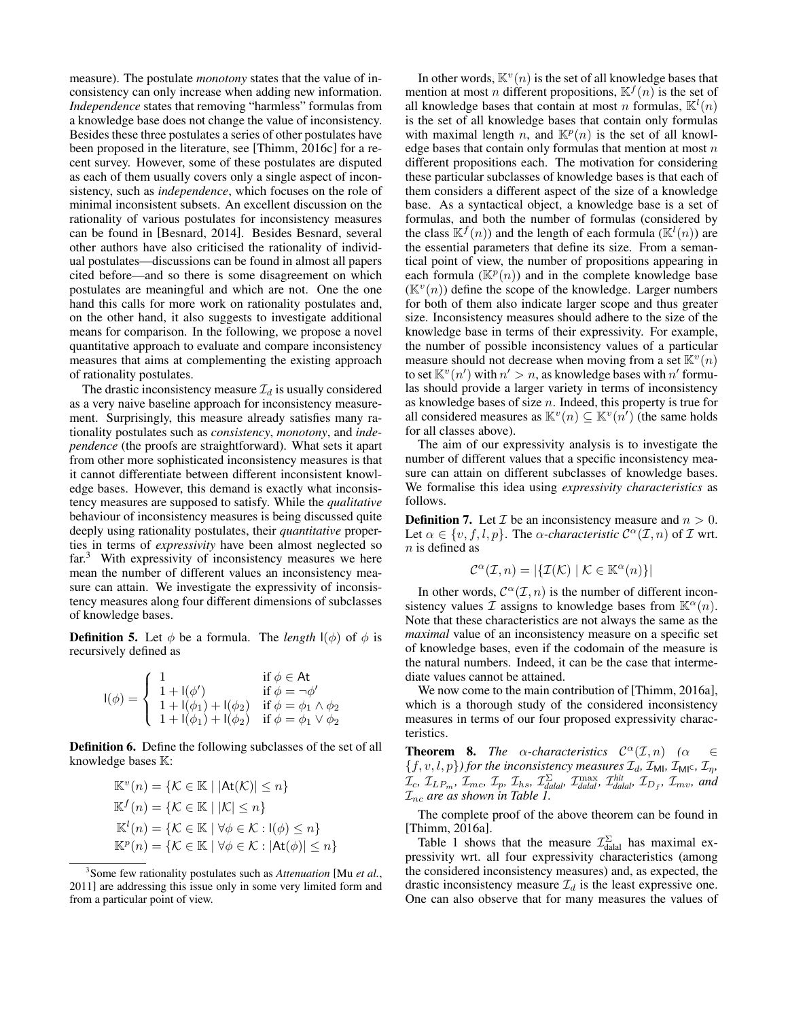measure). The postulate *monotony* states that the value of inconsistency can only increase when adding new information. *Independence* states that removing "harmless" formulas from a knowledge base does not change the value of inconsistency. Besides these three postulates a series of other postulates have been proposed in the literature, see [Thimm, 2016c] for a recent survey. However, some of these postulates are disputed as each of them usually covers only a single aspect of inconsistency, such as *independence*, which focuses on the role of minimal inconsistent subsets. An excellent discussion on the rationality of various postulates for inconsistency measures can be found in [Besnard, 2014]. Besides Besnard, several other authors have also criticised the rationality of individual postulates—discussions can be found in almost all papers cited before—and so there is some disagreement on which postulates are meaningful and which are not. One the one hand this calls for more work on rationality postulates and, on the other hand, it also suggests to investigate additional means for comparison. In the following, we propose a novel quantitative approach to evaluate and compare inconsistency measures that aims at complementing the existing approach of rationality postulates.

The drastic inconsistency measure  $\mathcal{I}_d$  is usually considered as a very naive baseline approach for inconsistency measurement. Surprisingly, this measure already satisfies many rationality postulates such as *consistency*, *monotony*, and *independence* (the proofs are straightforward). What sets it apart from other more sophisticated inconsistency measures is that it cannot differentiate between different inconsistent knowledge bases. However, this demand is exactly what inconsistency measures are supposed to satisfy. While the *qualitative* behaviour of inconsistency measures is being discussed quite deeply using rationality postulates, their *quantitative* properties in terms of *expressivity* have been almost neglected so far.<sup>3</sup> With expressivity of inconsistency measures we here mean the number of different values an inconsistency measure can attain. We investigate the expressivity of inconsistency measures along four different dimensions of subclasses of knowledge bases.

**Definition 5.** Let  $\phi$  be a formula. The *length*  $I(\phi)$  of  $\phi$  is recursively defined as

$$
I(\phi) = \begin{cases} 1 & \text{if } \phi \in \text{At} \\ 1 + I(\phi') & \text{if } \phi = \neg \phi' \\ 1 + I(\phi_1) + I(\phi_2) & \text{if } \phi = \phi_1 \land \phi_2 \\ 1 + I(\phi_1) + I(\phi_2) & \text{if } \phi = \phi_1 \lor \phi_2 \end{cases}
$$

Definition 6. Define the following subclasses of the set of all knowledge bases  $\mathbb{K}$ :

$$
\mathbb{K}^v(n) = \{ \mathcal{K} \in \mathbb{K} \mid |\mathrm{At}(\mathcal{K})| \le n \}
$$
  

$$
\mathbb{K}^f(n) = \{ \mathcal{K} \in \mathbb{K} \mid |\mathcal{K}| \le n \}
$$
  

$$
\mathbb{K}^l(n) = \{ \mathcal{K} \in \mathbb{K} \mid \forall \phi \in \mathcal{K} : \mathrm{l}(\phi) \le n \}
$$
  

$$
\mathbb{K}^p(n) = \{ \mathcal{K} \in \mathbb{K} \mid \forall \phi \in \mathcal{K} : |\mathrm{At}(\phi)| \le n \}
$$

In other words,  $\mathbb{K}^v(n)$  is the set of all knowledge bases that mention at most *n* different propositions,  $\mathbb{K}^{f}(n)$  is the set of all knowledge bases that contain at most *n* formulas,  $\mathbb{K}^{l}(n)$ is the set of all knowledge bases that contain only formulas with maximal length n, and  $\mathbb{K}^p(n)$  is the set of all knowledge bases that contain only formulas that mention at most  $n$ different propositions each. The motivation for considering these particular subclasses of knowledge bases is that each of them considers a different aspect of the size of a knowledge base. As a syntactical object, a knowledge base is a set of formulas, and both the number of formulas (considered by the class  $\mathbb{K}^{f}(n)$  and the length of each formula  $(\mathbb{K}^{l}(n))$  are the essential parameters that define its size. From a semantical point of view, the number of propositions appearing in each formula  $(\mathbb{K}^p(n))$  and in the complete knowledge base  $(\mathbb{K}^{v}(n))$  define the scope of the knowledge. Larger numbers for both of them also indicate larger scope and thus greater size. Inconsistency measures should adhere to the size of the knowledge base in terms of their expressivity. For example, the number of possible inconsistency values of a particular measure should not decrease when moving from a set  $\mathbb{K}^v(n)$ to set  $\mathbb{K}^v(n')$  with  $n' > n$ , as knowledge bases with  $n'$  formulas should provide a larger variety in terms of inconsistency as knowledge bases of size  $n$ . Indeed, this property is true for all considered measures as  $\mathbb{K}^v(n) \subseteq \mathbb{K}^v(n')$  (the same holds for all classes above).

The aim of our expressivity analysis is to investigate the number of different values that a specific inconsistency measure can attain on different subclasses of knowledge bases. We formalise this idea using *expressivity characteristics* as follows.

**Definition 7.** Let  $\mathcal{I}$  be an inconsistency measure and  $n > 0$ . Let  $\alpha \in \{v, f, l, p\}$ . The  $\alpha$ -characteristic  $\mathcal{C}^{\alpha}(\mathcal{I}, n)$  of  $\mathcal{I}$  wrt.  $\boldsymbol{n}$  is defined as

$$
\mathcal{C}^{\alpha}(\mathcal{I},n) = |\{\mathcal{I}(\mathcal{K}) \mid \mathcal{K} \in \mathbb{K}^{\alpha}(n)\}|
$$

In other words,  $\mathcal{C}^{\alpha}(\mathcal{I}, n)$  is the number of different inconsistency values I assigns to knowledge bases from  $\mathbb{K}^{\alpha}(n)$ . Note that these characteristics are not always the same as the *maximal* value of an inconsistency measure on a specific set of knowledge bases, even if the codomain of the measure is the natural numbers. Indeed, it can be the case that intermediate values cannot be attained.

We now come to the main contribution of [Thimm, 2016a], which is a thorough study of the considered inconsistency measures in terms of our four proposed expressivity characteristics.

**Theorem 8.** *The*  $\alpha$ -characteristics  $\mathcal{C}^{\alpha}(\mathcal{I}, n)$  ( $\alpha \in$  $\{f, v, l, p\}$ *) for the inconsistency measures*  $\mathcal{I}_d$ *,*  $\mathcal{I}_{\text{MI}}$ *,*  $\mathcal{I}_{\text{MI}}$ *c*,  $\mathcal{I}_{\eta}$ *,*  $\mathcal{I}_c$ *,*  $\mathcal{I}_{LP_m}$ *,*  $\mathcal{I}_m$ *c,*  $\mathcal{I}_p$ *,*  $\mathcal{I}_{hss}$ *,*  $\mathcal{I}_{\text{dald}}^{\Sigma}$ *,*  $\mathcal{I}_{\text{dald}}^{\text{hit}}$ *,*  $\mathcal{I}_{D_f}$ *,*  $\mathcal{I}_{mv}$ *, and* Inc *are as shown in Table 1.*

The complete proof of the above theorem can be found in [Thimm, 2016a].

Table 1 shows that the measure  $\mathcal{I}_{\text{datal}}^{\Sigma}$  has maximal expressivity wrt. all four expressivity characteristics (among the considered inconsistency measures) and, as expected, the drastic inconsistency measure  $\mathcal{I}_d$  is the least expressive one. One can also observe that for many measures the values of

<sup>3</sup> Some few rationality postulates such as *Attenuation* [Mu *et al.*, 2011] are addressing this issue only in some very limited form and from a particular point of view.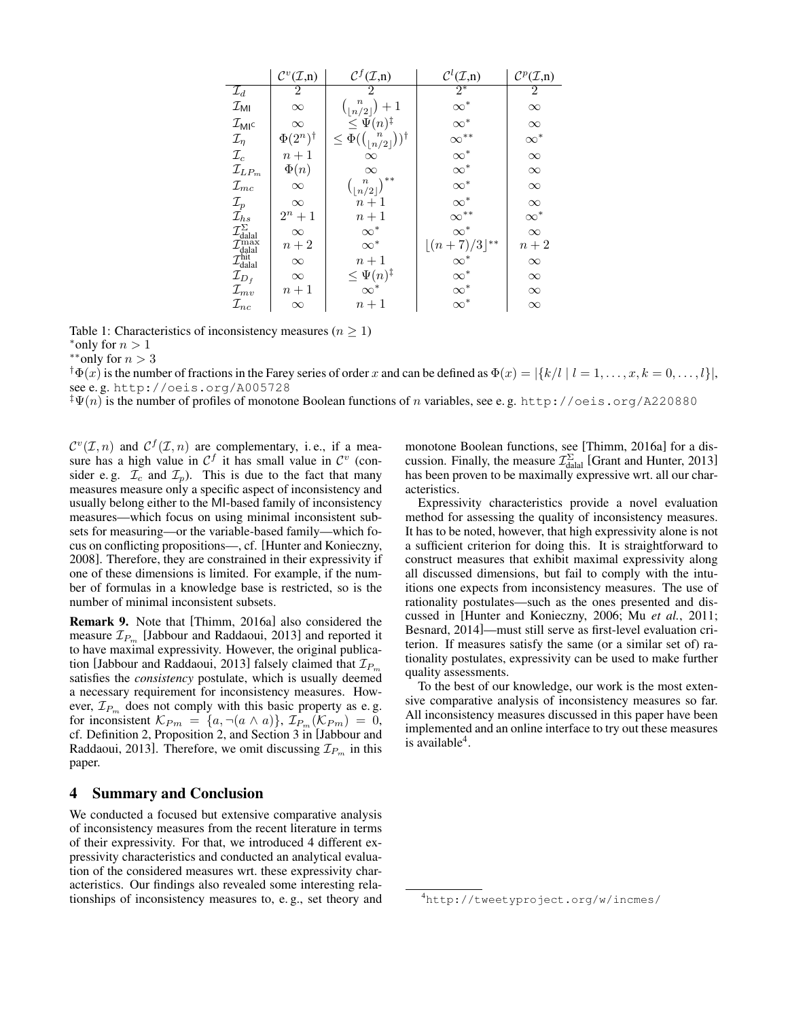|                                                                                                                                                            | $\mathcal{C}^v(\mathcal{I},n)$ | $\mathcal{C}^f(\mathcal{I},\underline{n})$                                                                    | $\mathcal{C}^l(\mathcal{I},n)$ | $\mathcal{C}^p(\mathcal{I},\!n)$ |
|------------------------------------------------------------------------------------------------------------------------------------------------------------|--------------------------------|---------------------------------------------------------------------------------------------------------------|--------------------------------|----------------------------------|
| $\mathcal{I}_d$                                                                                                                                            | $\overline{2}$                 | 2                                                                                                             | $2^*$                          | 2                                |
| $\mathcal{I}_{\sf MI}$                                                                                                                                     | $\infty$                       | $\begin{array}{c} \binom{n}{\lfloor n/2 \rfloor}+1 \\ \leq \Psi(n)^\ddag \end{array}$                         | $\infty^*$                     | $\infty$                         |
| $\mathcal{I}_{\mathsf{MI}^{\mathsf{C}}}$                                                                                                                   | $\infty$                       |                                                                                                               | $\infty^*$                     | $\infty$                         |
| $\mathcal{I}_\eta$                                                                                                                                         | $\Phi(2^n)^\dagger$            | $\leq \Phi(\binom{\left \lfloor n^{'}\right \rfloor}{\left \lfloor n/2\right \rfloor})^{\dagger}$<br>$\infty$ | $\infty^{**}$                  | $\infty^*$                       |
| $\mathcal{I}_c$                                                                                                                                            | $n+1$                          |                                                                                                               | $\infty^*$                     | $\infty$                         |
| $\mathcal{I}_{LP_m}$                                                                                                                                       | $\Phi(n)$                      | $\infty$                                                                                                      | $\infty^*$                     | $\infty$                         |
| $\mathcal{I}_{mc}$                                                                                                                                         | $\infty$                       | $\binom{n}{\lfloor n/2 \rfloor}^{**}$                                                                         | $\infty^*$                     | $\infty$                         |
| $\mathcal{I}_p$                                                                                                                                            | $\infty$                       | $n+1$                                                                                                         | $\infty^*$                     | $\infty$                         |
|                                                                                                                                                            | $2^n + 1$                      | $n+1$                                                                                                         | $\infty$ <sup>**</sup>         | $\infty^*$                       |
| $\mathcal{I}^{\mathcal{F}}_{hs}$<br>$\mathcal{I}^{\Sigma}_{\text{dala}}$<br>$\mathcal{I}^{\max}_{\text{dala}}$<br>$\mathcal{I}^{\text{hit}}_{\text{dala}}$ | $\infty$                       | $\infty^*$                                                                                                    | $\infty^*$                     | $\infty$                         |
|                                                                                                                                                            | $n+2$                          | $\infty^*$                                                                                                    | $\lfloor (n+7)/3 \rfloor^{**}$ | $n+2$                            |
|                                                                                                                                                            | $\infty$                       | $n+1$                                                                                                         |                                | $\infty$                         |
| $\mathcal{I}_{D_f}$                                                                                                                                        | $\infty$                       | $\leq \Psi(n)^{\ddagger}$                                                                                     | $\infty^*$ $\infty^*$          | $\infty$                         |
| $\mathcal{I}_{mv}$                                                                                                                                         | $n+1$                          | $\infty^*$                                                                                                    | $\infty^*$                     | $\infty$                         |
| $\mathcal{I}_{nc}$                                                                                                                                         | $\infty$                       | $n+1$                                                                                                         | $\infty^*$                     | $\infty$                         |

Table 1: Characteristics of inconsistency measures ( $n \geq 1$ )

\*only for  $n > 1$ 

 $*$ \*∗only for  $n > 3$ 

 $\{\Phi(x)$  is the number of fractions in the Farey series of order x and can be defined as  $\Phi(x) = |\{k/l \mid l = 1, \ldots, x, k = 0, \ldots, l\}|$ , see e. g. http://oeis.org/A005728

 ${}^{\ddagger}\Psi(n)$  is the number of profiles of monotone Boolean functions of n variables, see e.g. http://oeis.org/A220880

 $\mathcal{C}^v(\mathcal{I}, n)$  and  $\mathcal{C}^f(\mathcal{I}, n)$  are complementary, i.e., if a measure has a high value in  $\mathcal{C}^f$  it has small value in  $\mathcal{C}^v$  (consider e.g.  $\mathcal{I}_c$  and  $\mathcal{I}_p$ ). This is due to the fact that many measures measure only a specific aspect of inconsistency and usually belong either to the MI-based family of inconsistency measures—which focus on using minimal inconsistent subsets for measuring—or the variable-based family—which focus on conflicting propositions—, cf. [Hunter and Konieczny, 2008]. Therefore, they are constrained in their expressivity if one of these dimensions is limited. For example, if the number of formulas in a knowledge base is restricted, so is the number of minimal inconsistent subsets.

Remark 9. Note that [Thimm, 2016a] also considered the measure  $\mathcal{I}_{P_m}$  [Jabbour and Raddaoui, 2013] and reported it to have maximal expressivity. However, the original publication [Jabbour and Raddaoui, 2013] falsely claimed that  $\mathcal{I}_{P_m}$ satisfies the *consistency* postulate, which is usually deemed a necessary requirement for inconsistency measures. However,  $\mathcal{I}_{P_m}$  does not comply with this basic property as e.g. for inconsistent  $\mathcal{K}_{Pm} = \{a, \neg(a \wedge a)\}, \mathcal{I}_{P_m}(\mathcal{K}_{Pm}) = 0,$ cf. Definition 2, Proposition 2, and Section 3 in [Jabbour and Raddaoui, 2013]. Therefore, we omit discussing  $\mathcal{I}_{P_m}$  in this paper.

## 4 Summary and Conclusion

We conducted a focused but extensive comparative analysis of inconsistency measures from the recent literature in terms of their expressivity. For that, we introduced 4 different expressivity characteristics and conducted an analytical evaluation of the considered measures wrt. these expressivity characteristics. Our findings also revealed some interesting relationships of inconsistency measures to, e. g., set theory and monotone Boolean functions, see [Thimm, 2016a] for a discussion. Finally, the measure  $\mathcal{I}_{\text{dala}}^{\Sigma}$  [Grant and Hunter, 2013] has been proven to be maximally expressive wrt. all our characteristics.

Expressivity characteristics provide a novel evaluation method for assessing the quality of inconsistency measures. It has to be noted, however, that high expressivity alone is not a sufficient criterion for doing this. It is straightforward to construct measures that exhibit maximal expressivity along all discussed dimensions, but fail to comply with the intuitions one expects from inconsistency measures. The use of rationality postulates—such as the ones presented and discussed in [Hunter and Konieczny, 2006; Mu *et al.*, 2011; Besnard, 2014]—must still serve as first-level evaluation criterion. If measures satisfy the same (or a similar set of) rationality postulates, expressivity can be used to make further quality assessments.

To the best of our knowledge, our work is the most extensive comparative analysis of inconsistency measures so far. All inconsistency measures discussed in this paper have been implemented and an online interface to try out these measures is available<sup>4</sup>.

<sup>4</sup>http://tweetyproject.org/w/incmes/